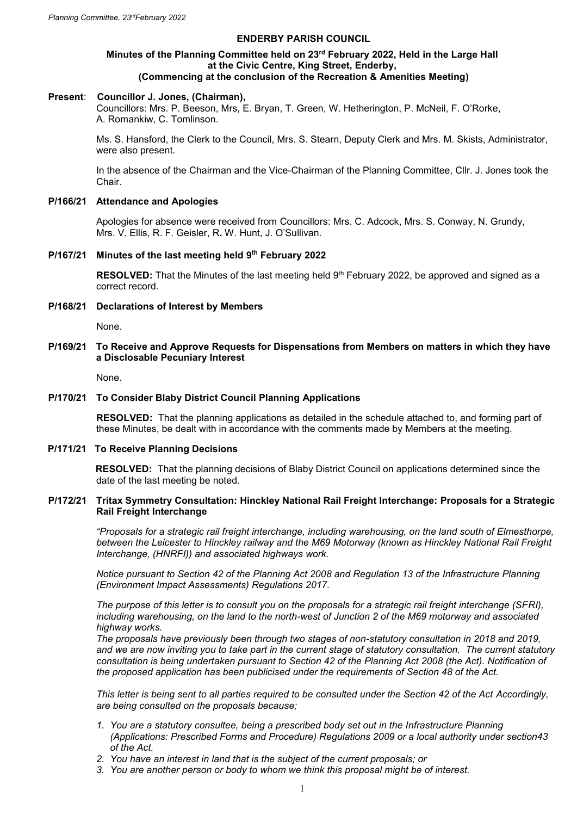# **ENDERBY PARISH COUNCIL**

#### **Minutes of the Planning Committee held on 23rd February 2022, Held in the Large Hall at the Civic Centre, King Street, Enderby, (Commencing at the conclusion of the Recreation & Amenities Meeting)**

# **Present**: **Councillor J. Jones, (Chairman),**

Councillors: Mrs. P. Beeson, Mrs, E. Bryan, T. Green, W. Hetherington, P. McNeil, F. O'Rorke, A. Romankiw, C. Tomlinson.

Ms. S. Hansford, the Clerk to the Council, Mrs. S. Stearn, Deputy Clerk and Mrs. M. Skists, Administrator, were also present.

In the absence of the Chairman and the Vice-Chairman of the Planning Committee, Cllr. J. Jones took the Chair.

### **P/166/21 Attendance and Apologies**

Apologies for absence were received from Councillors: Mrs. C. Adcock, Mrs. S. Conway, N. Grundy, Mrs. V. Ellis, R. F. Geisler, R**.** W. Hunt, J. O'Sullivan.

#### **P/167/21 Minutes of the last meeting held 9 th February 2022**

**RESOLVED:** That the Minutes of the last meeting held 9<sup>th</sup> February 2022, be approved and signed as a correct record.

**P/168/21 Declarations of Interest by Members**

None.

## **P/169/21 To Receive and Approve Requests for Dispensations from Members on matters in which they have a Disclosable Pecuniary Interest**

None.

#### **P/170/21 To Consider Blaby District Council Planning Applications**

**RESOLVED:** That the planning applications as detailed in the schedule attached to, and forming part of these Minutes, be dealt with in accordance with the comments made by Members at the meeting.

#### **P/171/21 To Receive Planning Decisions**

 **RESOLVED:** That the planning decisions of Blaby District Council on applications determined since the date of the last meeting be noted.

## **P/172/21 Tritax Symmetry Consultation: Hinckley National Rail Freight Interchange: Proposals for a Strategic Rail Freight Interchange**

*"Proposals for a strategic rail freight interchange, including warehousing, on the land south of Elmesthorpe, between the Leicester to Hinckley railway and the M69 Motorway (known as Hinckley National Rail Freight Interchange, (HNRFI)) and associated highways work.*

*Notice pursuant to Section 42 of the Planning Act 2008 and Regulation 13 of the Infrastructure Planning (Environment Impact Assessments) Regulations 2017.*

*The purpose of this letter is to consult you on the proposals for a strategic rail freight interchange (SFRI), including warehousing, on the land to the north-west of Junction 2 of the M69 motorway and associated highway works.*

*The proposals have previously been through two stages of non-statutory consultation in 2018 and 2019, and we are now inviting you to take part in the current stage of statutory consultation. The current statutory consultation is being undertaken pursuant to Section 42 of the Planning Act 2008 (the Act). Notification of the proposed application has been publicised under the requirements of Section 48 of the Act.*

*This letter is being sent to all parties required to be consulted under the Section 42 of the Act Accordingly, are being consulted on the proposals because;*

- *1. You are a statutory consultee, being a prescribed body set out in the Infrastructure Planning (Applications: Prescribed Forms and Procedure) Regulations 2009 or a local authority under section43 of the Act.*
- *2. You have an interest in land that is the subject of the current proposals; or*
- *3. You are another person or body to whom we think this proposal might be of interest.*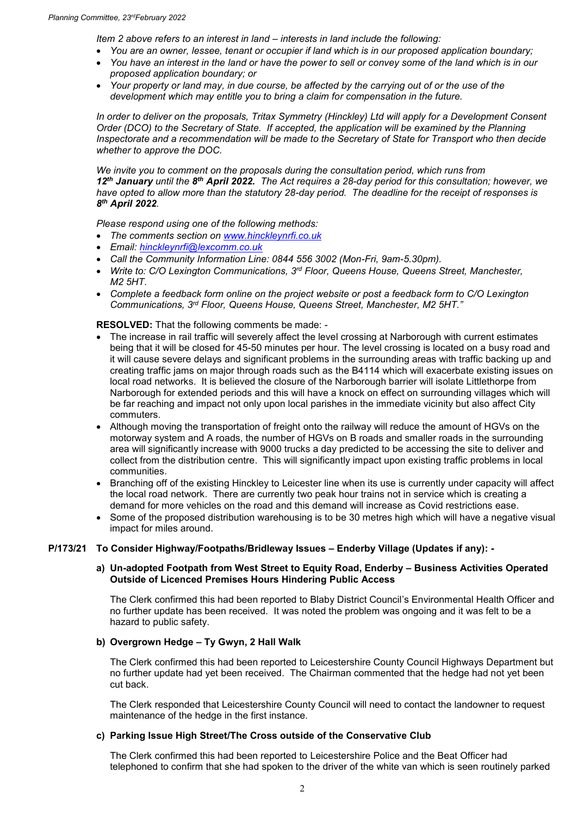*Item 2 above refers to an interest in land – interests in land include the following:*

- *You are an owner, lessee, tenant or occupier if land which is in our proposed application boundary;*
- *You have an interest in the land or have the power to sell or convey some of the land which is in our proposed application boundary; or*
- *Your property or land may, in due course, be affected by the carrying out of or the use of the development which may entitle you to bring a claim for compensation in the future.*

*In order to deliver on the proposals, Tritax Symmetry (Hinckley) Ltd will apply for a Development Consent Order (DCO) to the Secretary of State. If accepted, the application will be examined by the Planning Inspectorate and a recommendation will be made to the Secretary of State for Transport who then decide whether to approve the DOC.*

*We invite you to comment on the proposals during the consultation period, which runs from 12th January until the 8 th April 2022. The Act requires a 28-day period for this consultation; however, we have opted to allow more than the statutory 28-day period. The deadline for the receipt of responses is 8 th April 2022.*

*Please respond using one of the following methods:*

- *The comments section on [www.hinckleynrfi.co.uk](http://www.hinckleynrfi.co.uk/)*
- *Email: [hinckleynrfi@lexcomm.co.uk](mailto:hinckleynrfi@lexcomm.co.uk)*
- *Call the Community Information Line: 0844 556 3002 (Mon-Fri, 9am-5.30pm).*
- *Write to: C/O Lexington Communications, 3rd Floor, Queens House, Queens Street, Manchester, M2 5HT.*
- *Complete a feedback form online on the project website or post a feedback form to C/O Lexington Communications, 3rd Floor, Queens House, Queens Street, Manchester, M2 5HT."*

**RESOLVED:** That the following comments be made: -

- The increase in rail traffic will severely affect the level crossing at Narborough with current estimates being that it will be closed for 45-50 minutes per hour. The level crossing is located on a busy road and it will cause severe delays and significant problems in the surrounding areas with traffic backing up and creating traffic jams on major through roads such as the B4114 which will exacerbate existing issues on local road networks. It is believed the closure of the Narborough barrier will isolate Littlethorpe from Narborough for extended periods and this will have a knock on effect on surrounding villages which will be far reaching and impact not only upon local parishes in the immediate vicinity but also affect City commuters.
- Although moving the transportation of freight onto the railway will reduce the amount of HGVs on the motorway system and A roads, the number of HGVs on B roads and smaller roads in the surrounding area will significantly increase with 9000 trucks a day predicted to be accessing the site to deliver and collect from the distribution centre. This will significantly impact upon existing traffic problems in local communities.
- Branching off of the existing Hinckley to Leicester line when its use is currently under capacity will affect the local road network. There are currently two peak hour trains not in service which is creating a demand for more vehicles on the road and this demand will increase as Covid restrictions ease.
- Some of the proposed distribution warehousing is to be 30 metres high which will have a negative visual impact for miles around.

## **P/173/21 To Consider Highway/Footpaths/Bridleway Issues – Enderby Village (Updates if any): -**

## **a) Un-adopted Footpath from West Street to Equity Road, Enderby – Business Activities Operated Outside of Licenced Premises Hours Hindering Public Access**

The Clerk confirmed this had been reported to Blaby District Council's Environmental Health Officer and no further update has been received. It was noted the problem was ongoing and it was felt to be a hazard to public safety.

## **b) Overgrown Hedge – Ty Gwyn, 2 Hall Walk**

The Clerk confirmed this had been reported to Leicestershire County Council Highways Department but no further update had yet been received. The Chairman commented that the hedge had not yet been cut back.

The Clerk responded that Leicestershire County Council will need to contact the landowner to request maintenance of the hedge in the first instance.

## **c) Parking Issue High Street/The Cross outside of the Conservative Club**

The Clerk confirmed this had been reported to Leicestershire Police and the Beat Officer had telephoned to confirm that she had spoken to the driver of the white van which is seen routinely parked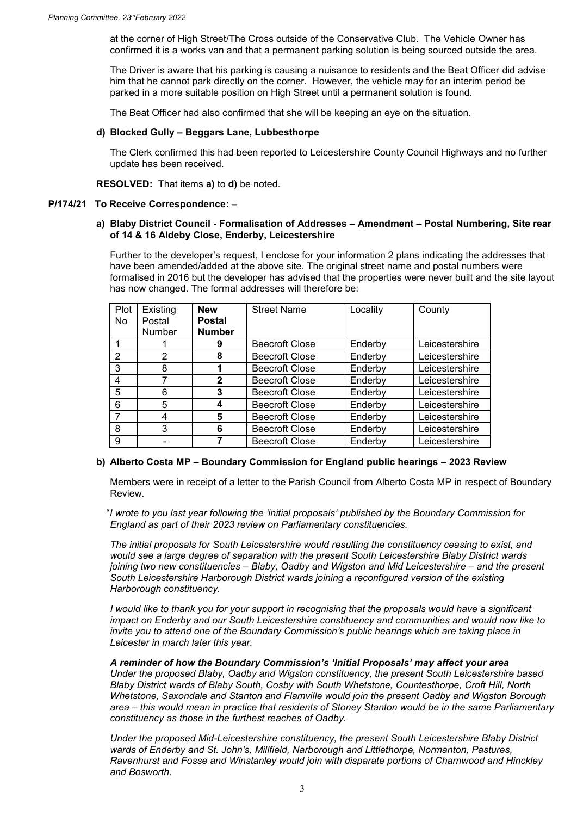at the corner of High Street/The Cross outside of the Conservative Club. The Vehicle Owner has confirmed it is a works van and that a permanent parking solution is being sourced outside the area.

The Driver is aware that his parking is causing a nuisance to residents and the Beat Officer did advise him that he cannot park directly on the corner. However, the vehicle may for an interim period be parked in a more suitable position on High Street until a permanent solution is found.

The Beat Officer had also confirmed that she will be keeping an eye on the situation.

### **d) Blocked Gully – Beggars Lane, Lubbesthorpe**

The Clerk confirmed this had been reported to Leicestershire County Council Highways and no further update has been received.

**RESOLVED:** That items **a)** to **d)** be noted.

#### **P/174/21 To Receive Correspondence: –**

## **a) Blaby District Council - Formalisation of Addresses – Amendment – Postal Numbering, Site rear of 14 & 16 Aldeby Close, Enderby, Leicestershire**

Further to the developer's request, I enclose for your information 2 plans indicating the addresses that have been amended/added at the above site. The original street name and postal numbers were formalised in 2016 but the developer has advised that the properties were never built and the site layout has now changed. The formal addresses will therefore be:

| Plot          | Existing      | <b>New</b>    | <b>Street Name</b>    | Locality | County         |
|---------------|---------------|---------------|-----------------------|----------|----------------|
| No.           | Postal        | <b>Postal</b> |                       |          |                |
|               | <b>Number</b> | <b>Number</b> |                       |          |                |
|               |               | 9             | <b>Beecroft Close</b> | Enderby  | Leicestershire |
| $\mathcal{P}$ | 2             | 8             | <b>Beecroft Close</b> | Enderby  | Leicestershire |
| 3             | 8             |               | <b>Beecroft Close</b> | Enderby  | Leicestershire |
| 4             |               | 2             | <b>Beecroft Close</b> | Enderby  | Leicestershire |
| 5             | 6             | 3             | <b>Beecroft Close</b> | Enderby  | Leicestershire |
| 6             | 5             |               | <b>Beecroft Close</b> | Enderby  | Leicestershire |
| 7             | 4             | 5             | <b>Beecroft Close</b> | Enderby  | Leicestershire |
| 8             | 3             | 6             | <b>Beecroft Close</b> | Enderby  | Leicestershire |
| 9             |               |               | <b>Beecroft Close</b> | Enderby  | Leicestershire |

## **b) Alberto Costa MP – Boundary Commission for England public hearings – 2023 Review**

Members were in receipt of a letter to the Parish Council from Alberto Costa MP in respect of Boundary Review.

"*I wrote to you last year following the 'initial proposals' published by the Boundary Commission for England as part of their 2023 review on Parliamentary constituencies.* 

*The initial proposals for South Leicestershire would resulting the constituency ceasing to exist, and would see a large degree of separation with the present South Leicestershire Blaby District wards joining two new constituencies - Blaby, Oadby and Wigston and Mid Leicestershire - and the present South Leicestershire Harborough District wards joining a reconfigured version of the existing Harborough constituency.*

*I* would like to thank you for your support in recognising that the proposals would have a significant *impact on Enderby and our South Leicestershire constituency and communities and would now like to invite you to attend one of the Boundary Commission's public hearings which are taking place in Leicester in march later this year.*

*A reminder of how the Boundary Commission's 'Initial Proposals' may affect your area Under the proposed Blaby, Oadby and Wigston constituency, the present South Leicestershire based Blaby District wards of Blaby South, Cosby with South Whetstone, Countesthorpe, Croft Hill, North Whetstone, Saxondale and Stanton and Flamville would join the present Oadby and Wigston Borough area – this would mean in practice that residents of Stoney Stanton would be in the same Parliamentary constituency as those in the furthest reaches of Oadby.*

*Under the proposed Mid-Leicestershire constituency, the present South Leicestershire Blaby District wards of Enderby and St. John's, Millfield, Narborough and Littlethorpe, Normanton, Pastures, Ravenhurst and Fosse and Winstanley would join with disparate portions of Charnwood and Hinckley and Bosworth.*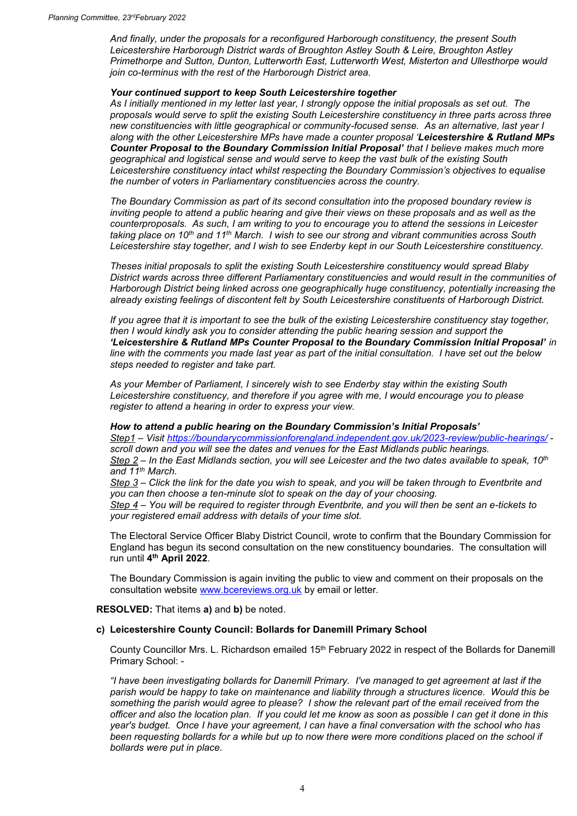*And finally, under the proposals for a reconfigured Harborough constituency, the present South Leicestershire Harborough District wards of Broughton Astley South & Leire, Broughton Astley Primethorpe and Sutton, Dunton, Lutterworth East, Lutterworth West, Misterton and Ullesthorpe would join co-terminus with the rest of the Harborough District area.*

#### *Your continued support to keep South Leicestershire together*

*As I initially mentioned in my letter last year, I strongly oppose the initial proposals as set out. The proposals would serve to split the existing South Leicestershire constituency in three parts across three new constituencies with little geographical or community-focused sense. As an alternative, last year I along with the other Leicestershire MPs have made a counter proposal 'Leicestershire & Rutland MPs Counter Proposal to the Boundary Commission Initial Proposal' that I believe makes much more geographical and logistical sense and would serve to keep the vast bulk of the existing South Leicestershire constituency intact whilst respecting the Boundary Commission's objectives to equalise the number of voters in Parliamentary constituencies across the country.*

*The Boundary Commission as part of its second consultation into the proposed boundary review is inviting people to attend a public hearing and give their views on these proposals and as well as the counterproposals. As such, I am writing to you to encourage you to attend the sessions in Leicester taking place on 10th and 11th March. I wish to see our strong and vibrant communities across South Leicestershire stay together, and I wish to see Enderby kept in our South Leicestershire constituency.*

*Theses initial proposals to split the existing South Leicestershire constituency would spread Blaby District wards across three different Parliamentary constituencies and would result in the communities of Harborough District being linked across one geographically huge constituency, potentially increasing the already existing feelings of discontent felt by South Leicestershire constituents of Harborough District.*

*If you agree that it is important to see the bulk of the existing Leicestershire constituency stay together, then I would kindly ask you to consider attending the public hearing session and support the 'Leicestershire & Rutland MPs Counter Proposal to the Boundary Commission Initial Proposal' in line with the comments you made last year as part of the initial consultation. I have set out the below steps needed to register and take part.*

*As your Member of Parliament, I sincerely wish to see Enderby stay within the existing South Leicestershire constituency, and therefore if you agree with me, I would encourage you to please register to attend a hearing in order to express your view.*

#### *How to attend a public hearing on the Boundary Commission's Initial Proposals'*

*Step1 – Visit<https://boundarycommissionforengland.independent.gov.uk/2023-review/public-hearings/> scroll down and you will see the dates and venues for the East Midlands public hearings. Step 2 – In the East Midlands section, you will see Leicester and the two dates available to speak, 10th and 11th March.*

*Step 3 – Click the link for the date you wish to speak, and you will be taken through to Eventbrite and you can then choose a ten-minute slot to speak on the day of your choosing. Step 4 – You will be required to register through Eventbrite, and you will then be sent an e-tickets to your registered email address with details of your time slot.*

The Electoral Service Officer Blaby District Council, wrote to confirm that the Boundary Commission for England has begun its second consultation on the new constituency boundaries. The consultation will run until **4 th April 2022**.

The Boundary Commission is again inviting the public to view and comment on their proposals on the consultation website [www.bcereviews.org.uk](http://www.bcereviews.org.uk/) by email or letter.

**RESOLVED:** That items **a)** and **b)** be noted.

## **c) Leicestershire County Council: Bollards for Danemill Primary School**

County Councillor Mrs. L. Richardson emailed 15th February 2022 in respect of the Bollards for Danemill Primary School: -

*"I have been investigating bollards for Danemill Primary. I've managed to get agreement at last if the parish would be happy to take on maintenance and liability through a structures licence. Would this be something the parish would agree to please? I show the relevant part of the email received from the officer and also the location plan. If you could let me know as soon as possible I can get it done in this year's budget. Once I have your agreement, I can have a final conversation with the school who has been requesting bollards for a while but up to now there were more conditions placed on the school if bollards were put in place.*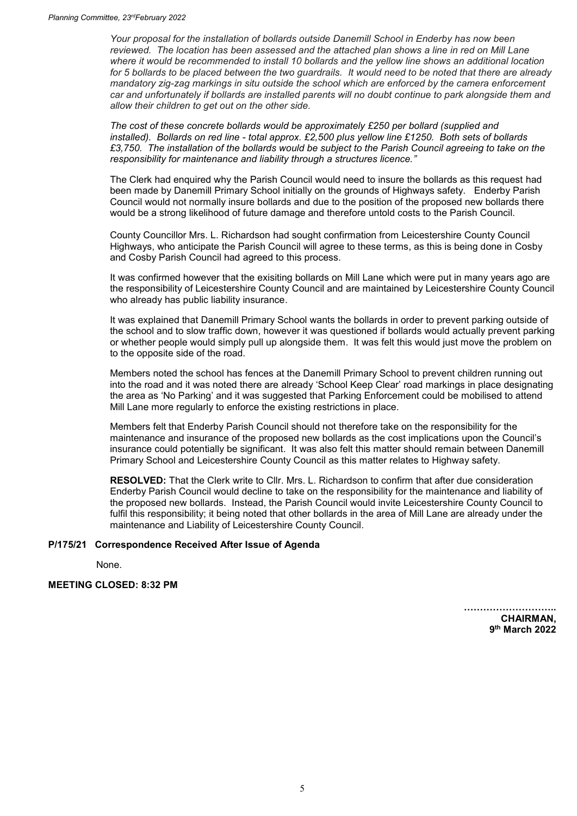*Your proposal for the installation of bollards outside Danemill School in Enderby has now been reviewed. The location has been assessed and the attached plan shows a line in red on Mill Lane where it would be recommended to install 10 bollards and the yellow line shows an additional location for 5 bollards to be placed between the two guardrails. It would need to be noted that there are already mandatory zig-zag markings in situ outside the school which are enforced by the camera enforcement car and unfortunately if bollards are installed parents will no doubt continue to park alongside them and allow their children to get out on the other side.*

*The cost of these concrete bollards would be approximately £250 per bollard (supplied and installed). Bollards on red line - total approx. £2,500 plus yellow line £1250. Both sets of bollards £3,750. The installation of the bollards would be subject to the Parish Council agreeing to take on the responsibility for maintenance and liability through a structures licence."*

The Clerk had enquired why the Parish Council would need to insure the bollards as this request had been made by Danemill Primary School initially on the grounds of Highways safety. Enderby Parish Council would not normally insure bollards and due to the position of the proposed new bollards there would be a strong likelihood of future damage and therefore untold costs to the Parish Council.

County Councillor Mrs. L. Richardson had sought confirmation from Leicestershire County Council Highways, who anticipate the Parish Council will agree to these terms, as this is being done in Cosby and Cosby Parish Council had agreed to this process.

It was confirmed however that the exisiting bollards on Mill Lane which were put in many years ago are the responsibility of Leicestershire County Council and are maintained by Leicestershire County Council who already has public liability insurance.

It was explained that Danemill Primary School wants the bollards in order to prevent parking outside of the school and to slow traffic down, however it was questioned if bollards would actually prevent parking or whether people would simply pull up alongside them. It was felt this would just move the problem on to the opposite side of the road.

Members noted the school has fences at the Danemill Primary School to prevent children running out into the road and it was noted there are already 'School Keep Clear' road markings in place designating the area as 'No Parking' and it was suggested that Parking Enforcement could be mobilised to attend Mill Lane more regularly to enforce the existing restrictions in place.

Members felt that Enderby Parish Council should not therefore take on the responsibility for the maintenance and insurance of the proposed new bollards as the cost implications upon the Council's insurance could potentially be significant. It was also felt this matter should remain between Danemill Primary School and Leicestershire County Council as this matter relates to Highway safety.

**RESOLVED:** That the Clerk write to Cllr. Mrs. L. Richardson to confirm that after due consideration Enderby Parish Council would decline to take on the responsibility for the maintenance and liability of the proposed new bollards. Instead, the Parish Council would invite Leicestershire County Council to fulfil this responsibility; it being noted that other bollards in the area of Mill Lane are already under the maintenance and Liability of Leicestershire County Council.

# **P/175/21 Correspondence Received After Issue of Agenda**

None.

## **MEETING CLOSED: 8:32 PM**

**……………………….. CHAIRMAN, 9 th March 2022**